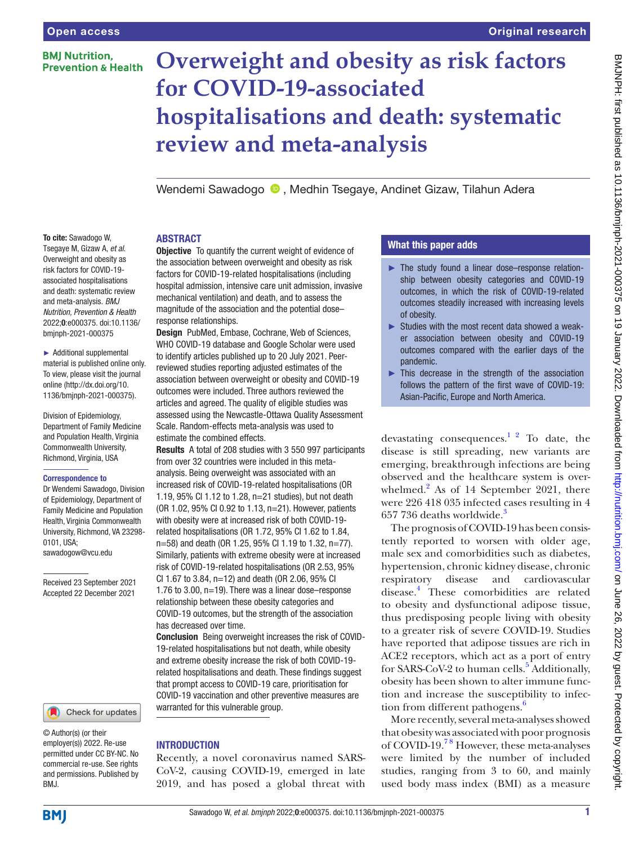To cite: Sawadogo W, Tsegaye M, Gizaw A, *et al*. Overweight and obesity as risk factors for COVID-19 associated hospitalisations and death: systematic review and meta-analysis. *BMJ Nutrition, Prevention & Health* 2022;0:e000375. doi:10.1136/ bmjnph-2021-000375 ► Additional supplemental material is published online only. To view, please visit the journal online [\(http://dx.doi.org/10.](http://dx.doi.org/10.1136/bmjnph-2021-000375) [1136/bmjnph-2021-000375](http://dx.doi.org/10.1136/bmjnph-2021-000375)).

Division of Epidemiology, Department of Family Medicine and Population Health, Virginia Commonwealth University, Richmond, Virginia, USA Correspondence to

Dr Wendemi Sawadogo, Division of Epidemiology, Department of Family Medicine and Population Health, Virginia Commonwealth University, Richmond, VA 23298-

Received 23 September 2021 Accepted 22 December 2021

0101, USA; sawadogow@vcu.edu

# **BMI Nutrition. Prevention & Health**

# **Overweight and obesity as risk factors for COVID-19-associated hospitalisations and death: systematic review and meta-analysis**

Wendemi Sawadogo <sup>®</sup>. Medhin Tsegaye, Andinet Gizaw, Tilahun Adera

## ABSTRACT

**Objective** To quantify the current weight of evidence of the association between overweight and obesity as risk factors for COVID-19-related hospitalisations (including hospital admission, intensive care unit admission, invasive mechanical ventilation) and death, and to assess the magnitude of the association and the potential dose– response relationships.

**Design** PubMed, Embase, Cochrane, Web of Sciences, WHO COVID-19 database and Google Scholar were used to identify articles published up to 20 July 2021. Peerreviewed studies reporting adjusted estimates of the association between overweight or obesity and COVID-19 outcomes were included. Three authors reviewed the articles and agreed. The quality of eligible studies was assessed using the Newcastle-Ottawa Quality Assessment Scale. Random-effects meta-analysis was used to estimate the combined effects.

Results A total of 208 studies with 3 550 997 participants from over 32 countries were included in this metaanalysis. Being overweight was associated with an increased risk of COVID-19-related hospitalisations (OR 1.19, 95% CI 1.12 to 1.28, n=21 studies), but not death (OR 1.02, 95% CI 0.92 to 1.13, n=21). However, patients with obesity were at increased risk of both COVID-19 related hospitalisations (OR 1.72, 95% CI 1.62 to 1.84, n=58) and death (OR 1.25, 95% CI 1.19 to 1.32, n=77). Similarly, patients with extreme obesity were at increased risk of COVID-19-related hospitalisations (OR 2.53, 95% CI 1.67 to 3.84, n=12) and death (OR 2.06, 95% CI 1.76 to 3.00, n=19). There was a linear dose–response relationship between these obesity categories and COVID-19 outcomes, but the strength of the association

Conclusion Being overweight increases the risk of COVID-19-related hospitalisations but not death, while obesity and extreme obesity increase the risk of both COVID-19 related hospitalisations and death. These findings suggest that prompt access to COVID-19 care, prioritisation for COVID-19 vaccination and other preventive measures are warranted for this vulnerable group.

## **INTRODUCTION**

has decreased over time.

Recently, a novel coronavirus named SARS-CoV-2, causing COVID-19, emerged in late 2019, and has posed a global threat with

# What this paper adds

- ► The study found a linear dose–response relationship between obesity categories and COVID-19 outcomes, in which the risk of COVID-19-related outcomes steadily increased with increasing levels of obesity.
- ► Studies with the most recent data showed a weaker association between obesity and COVID-19 outcomes compared with the earlier days of the pandemic.
- $\blacktriangleright$  This decrease in the strength of the association follows the pattern of the first wave of COVID-19: Asian-Pacific, Europe and North America.

devastating consequences.<sup>1 2</sup> To date, the disease is still spreading, new variants are emerging, breakthrough infections are being observed and the healthcare system is over-whelmed.<sup>[2](#page-8-1)</sup> As of 14 September 2021, there were 226 418 035 infected cases resulting in 4 657 7[3](#page-8-2)6 deaths worldwide.<sup>3</sup>

The prognosis of COVID-19 has been consistently reported to worsen with older age, male sex and comorbidities such as diabetes, hypertension, chronic kidney disease, chronic respiratory disease and cardiovascular disease.[4](#page-8-3) These comorbidities are related to obesity and dysfunctional adipose tissue, thus predisposing people living with obesity to a greater risk of severe COVID-19. Studies have reported that adipose tissues are rich in ACE2 receptors, which act as a port of entry for SARS-CoV-2 to human cells.<sup>[5](#page-8-4)</sup> Additionally, obesity has been shown to alter immune function and increase the susceptibility to infection from different pathogens.<sup>6</sup>

More recently, several meta-analyses showed that obesity was associated with poor prognosis of COVID-19[.7 8](#page-8-6) However, these meta-analyses were limited by the number of included studies, ranging from 3 to 60, and mainly used body mass index (BMI) as a measure

BMJ.

© Author(s) (or their employer(s)) 2022. Re-use permitted under CC BY-NC. No commercial re-use. See rights and permissions. Published by

Check for updates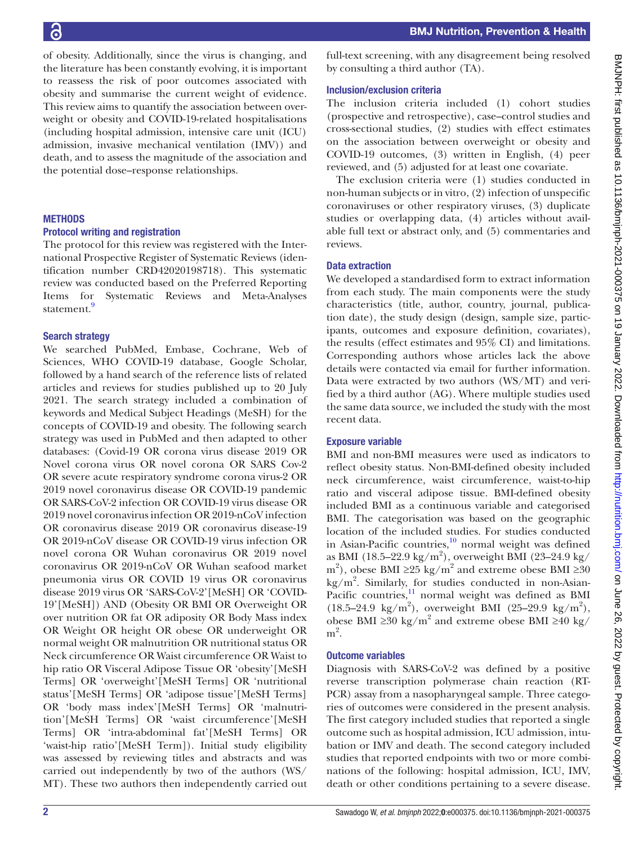of obesity. Additionally, since the virus is changing, and the literature has been constantly evolving, it is important to reassess the risk of poor outcomes associated with obesity and summarise the current weight of evidence. This review aims to quantify the association between overweight or obesity and COVID-19-related hospitalisations (including hospital admission, intensive care unit (ICU) admission, invasive mechanical ventilation (IMV)) and death, and to assess the magnitude of the association and the potential dose–response relationships.

# **METHODS**

## Protocol writing and registration

The protocol for this review was registered with the International Prospective Register of Systematic Reviews (identification number CRD42020198718). This systematic review was conducted based on the Preferred Reporting Items for Systematic Reviews and Meta-Analyses statement.<sup>[9](#page-8-7)</sup>

# Search strategy

We searched PubMed, Embase, Cochrane, Web of Sciences, WHO COVID-19 database, Google Scholar, followed by a hand search of the reference lists of related articles and reviews for studies published up to 20 July 2021. The search strategy included a combination of keywords and Medical Subject Headings (MeSH) for the concepts of COVID-19 and obesity. The following search strategy was used in PubMed and then adapted to other databases: (Covid-19 OR corona virus disease 2019 OR Novel corona virus OR novel corona OR SARS Cov-2 OR severe acute respiratory syndrome corona virus-2 OR 2019 novel coronavirus disease OR COVID-19 pandemic OR SARS-CoV-2 infection OR COVID-19 virus disease OR 2019 novel coronavirus infection OR 2019-nCoV infection OR coronavirus disease 2019 OR coronavirus disease-19 OR 2019-nCoV disease OR COVID-19 virus infection OR novel corona OR Wuhan coronavirus OR 2019 novel coronavirus OR 2019-nCoV OR Wuhan seafood market pneumonia virus OR COVID 19 virus OR coronavirus disease 2019 virus OR 'SARS-CoV-2'[MeSH] OR 'COVID-19'[MeSH]) AND (Obesity OR BMI OR Overweight OR over nutrition OR fat OR adiposity OR Body Mass index OR Weight OR height OR obese OR underweight OR normal weight OR malnutrition OR nutritional status OR Neck circumference OR Waist circumference OR Waist to hip ratio OR Visceral Adipose Tissue OR 'obesity'[MeSH Terms] OR 'overweight'[MeSH Terms] OR 'nutritional status'[MeSH Terms] OR 'adipose tissue'[MeSH Terms] OR 'body mass index'[MeSH Terms] OR 'malnutrition'[MeSH Terms] OR 'waist circumference'[MeSH Terms] OR 'intra-abdominal fat'[MeSH Terms] OR 'waist-hip ratio'[MeSH Term]). Initial study eligibility was assessed by reviewing titles and abstracts and was carried out independently by two of the authors (WS/ MT). These two authors then independently carried out

full-text screening, with any disagreement being resolved by consulting a third author (TA).

# Inclusion/exclusion criteria

The inclusion criteria included (1) cohort studies (prospective and retrospective), case–control studies and cross-sectional studies, (2) studies with effect estimates on the association between overweight or obesity and COVID-19 outcomes, (3) written in English, (4) peer reviewed, and (5) adjusted for at least one covariate.

The exclusion criteria were (1) studies conducted in non-human subjects or in vitro, (2) infection of unspecific coronaviruses or other respiratory viruses, (3) duplicate studies or overlapping data, (4) articles without available full text or abstract only, and (5) commentaries and reviews.

# Data extraction

We developed a standardised form to extract information from each study. The main components were the study characteristics (title, author, country, journal, publication date), the study design (design, sample size, participants, outcomes and exposure definition, covariates), the results (effect estimates and 95% CI) and limitations. Corresponding authors whose articles lack the above details were contacted via email for further information. Data were extracted by two authors (WS/MT) and verified by a third author (AG). Where multiple studies used the same data source, we included the study with the most recent data.

# Exposure variable

BMI and non-BMI measures were used as indicators to reflect obesity status. Non-BMI-defined obesity included neck circumference, waist circumference, waist-to-hip ratio and visceral adipose tissue. BMI-defined obesity included BMI as a continuous variable and categorised BMI. The categorisation was based on the geographic location of the included studies. For studies conducted in Asian-Pacific countries, $^{10}$  $^{10}$  $^{10}$  normal weight was defined as BMI (18.5–22.9 kg/m<sup>2</sup>), overweight BMI (23–24.9 kg/ m<sup>2</sup>), obese BMI ≥25 kg/m<sup>2</sup> and extreme obese BMI ≥30 kg/m<sup>2</sup> . Similarly, for studies conducted in non-Asian-Pacific countries, $\frac{11}{11}$  $\frac{11}{11}$  $\frac{11}{11}$  normal weight was defined as BMI  $(18.5-24.9 \text{ kg/m}^2)$ , overweight BMI  $(25-29.9 \text{ kg/m}^2)$ , obese BMI ≥30 kg/m<sup>2</sup> and extreme obese BMI ≥40 kg/  $m<sup>2</sup>$ .

# Outcome variables

Diagnosis with SARS-CoV-2 was defined by a positive reverse transcription polymerase chain reaction (RT-PCR) assay from a nasopharyngeal sample. Three categories of outcomes were considered in the present analysis. The first category included studies that reported a single outcome such as hospital admission, ICU admission, intubation or IMV and death. The second category included studies that reported endpoints with two or more combinations of the following: hospital admission, ICU, IMV, death or other conditions pertaining to a severe disease.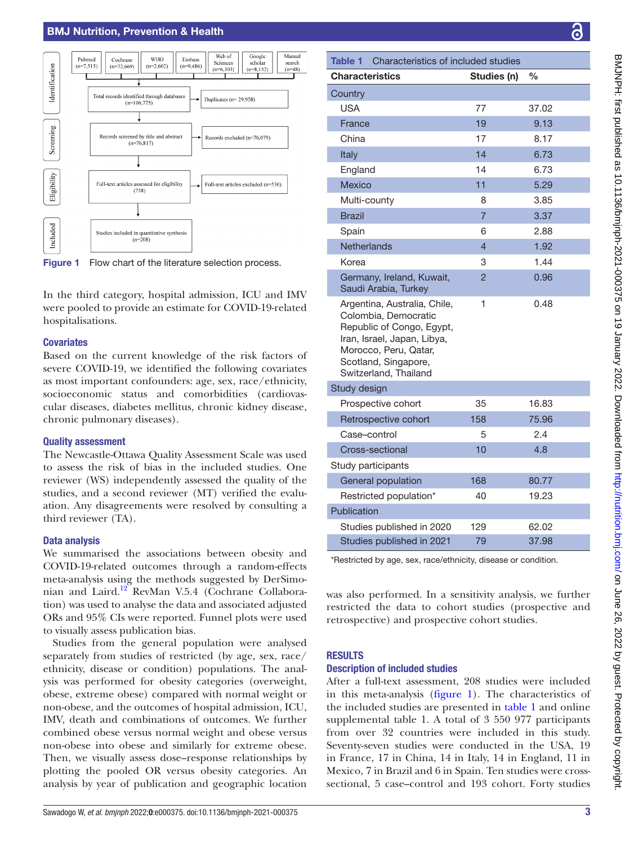# BMJ Nutrition, Prevention & Health



<span id="page-2-0"></span>Figure 1 Flow chart of the literature selection process.

In the third category, hospital admission, ICU and IMV were pooled to provide an estimate for COVID-19-related hospitalisations.

## **Covariates**

Based on the current knowledge of the risk factors of severe COVID-19, we identified the following covariates as most important confounders: age, sex, race/ethnicity, socioeconomic status and comorbidities (cardiovascular diseases, diabetes mellitus, chronic kidney disease, chronic pulmonary diseases).

#### Quality assessment

The Newcastle-Ottawa Quality Assessment Scale was used to assess the risk of bias in the included studies. One reviewer (WS) independently assessed the quality of the studies, and a second reviewer (MT) verified the evaluation. Any disagreements were resolved by consulting a third reviewer (TA).

#### Data analysis

We summarised the associations between obesity and COVID-19-related outcomes through a random-effects meta-analysis using the methods suggested by DerSimonian and Laird.[12](#page-8-10) RevMan V.5.4 (Cochrane Collaboration) was used to analyse the data and associated adjusted ORs and 95% CIs were reported. Funnel plots were used to visually assess publication bias.

Studies from the general population were analysed separately from studies of restricted (by age, sex, race/ ethnicity, disease or condition) populations. The analysis was performed for obesity categories (overweight, obese, extreme obese) compared with normal weight or non-obese, and the outcomes of hospital admission, ICU, IMV, death and combinations of outcomes. We further combined obese versus normal weight and obese versus non-obese into obese and similarly for extreme obese. Then, we visually assess dose–response relationships by plotting the pooled OR versus obesity categories. An analysis by year of publication and geographic location

<span id="page-2-1"></span>

| Characteristics of included studies<br>Table 1                                                                                                                                             |                |       |  |  |  |  |
|--------------------------------------------------------------------------------------------------------------------------------------------------------------------------------------------|----------------|-------|--|--|--|--|
| <b>Characteristics</b>                                                                                                                                                                     | Studies (n)    | $\%$  |  |  |  |  |
| Country                                                                                                                                                                                    |                |       |  |  |  |  |
| <b>USA</b>                                                                                                                                                                                 | 77             | 37.02 |  |  |  |  |
| France                                                                                                                                                                                     | 19             | 9.13  |  |  |  |  |
| China                                                                                                                                                                                      | 17             | 8.17  |  |  |  |  |
| Italy                                                                                                                                                                                      | 14             | 6.73  |  |  |  |  |
| England                                                                                                                                                                                    | 14             | 6.73  |  |  |  |  |
| <b>Mexico</b>                                                                                                                                                                              | 11             | 5.29  |  |  |  |  |
| Multi-county                                                                                                                                                                               | 8              | 3.85  |  |  |  |  |
| <b>Brazil</b>                                                                                                                                                                              | $\overline{7}$ | 3.37  |  |  |  |  |
| Spain                                                                                                                                                                                      | 6              | 2.88  |  |  |  |  |
| <b>Netherlands</b>                                                                                                                                                                         | $\overline{4}$ | 1.92  |  |  |  |  |
| Korea                                                                                                                                                                                      | 3              | 1.44  |  |  |  |  |
| Germany, Ireland, Kuwait,<br>Saudi Arabia, Turkey                                                                                                                                          | $\overline{2}$ | 0.96  |  |  |  |  |
| Argentina, Australia, Chile,<br>Colombia, Democratic<br>Republic of Congo, Egypt,<br>Iran, Israel, Japan, Libya,<br>Morocco, Peru, Qatar,<br>Scotland, Singapore,<br>Switzerland, Thailand | 1              | 0.48  |  |  |  |  |
| Study design                                                                                                                                                                               |                |       |  |  |  |  |
| Prospective cohort                                                                                                                                                                         | 35             | 16.83 |  |  |  |  |
| Retrospective cohort                                                                                                                                                                       | 158            | 75.96 |  |  |  |  |
| Case-control                                                                                                                                                                               | 5              | 2.4   |  |  |  |  |
| Cross-sectional                                                                                                                                                                            | 10             | 4.8   |  |  |  |  |
| Study participants                                                                                                                                                                         |                |       |  |  |  |  |
| General population                                                                                                                                                                         | 168            | 80.77 |  |  |  |  |
| Restricted population*                                                                                                                                                                     | 40             | 19.23 |  |  |  |  |
| Publication                                                                                                                                                                                |                |       |  |  |  |  |
| Studies published in 2020                                                                                                                                                                  | 129            | 62.02 |  |  |  |  |
| Studies published in 2021                                                                                                                                                                  | 79             | 37.98 |  |  |  |  |

\*Restricted by age, sex, race/ethnicity, disease or condition.

was also performed. In a sensitivity analysis, we further restricted the data to cohort studies (prospective and retrospective) and prospective cohort studies.

#### RESULTS

#### Description of included studies

After a full-text assessment, 208 studies were included in this meta-analysis ([figure](#page-2-0) 1). The characteristics of the included studies are presented in [table](#page-2-1) 1 and [online](https://dx.doi.org/10.1136/bmjnph-2021-000375)  [supplemental table 1.](https://dx.doi.org/10.1136/bmjnph-2021-000375) A total of 3 550 977 participants from over 32 countries were included in this study. Seventy-seven studies were conducted in the USA, 19 in France, 17 in China, 14 in Italy, 14 in England, 11 in Mexico, 7 in Brazil and 6 in Spain. Ten studies were crosssectional, 5 case–control and 193 cohort. Forty studies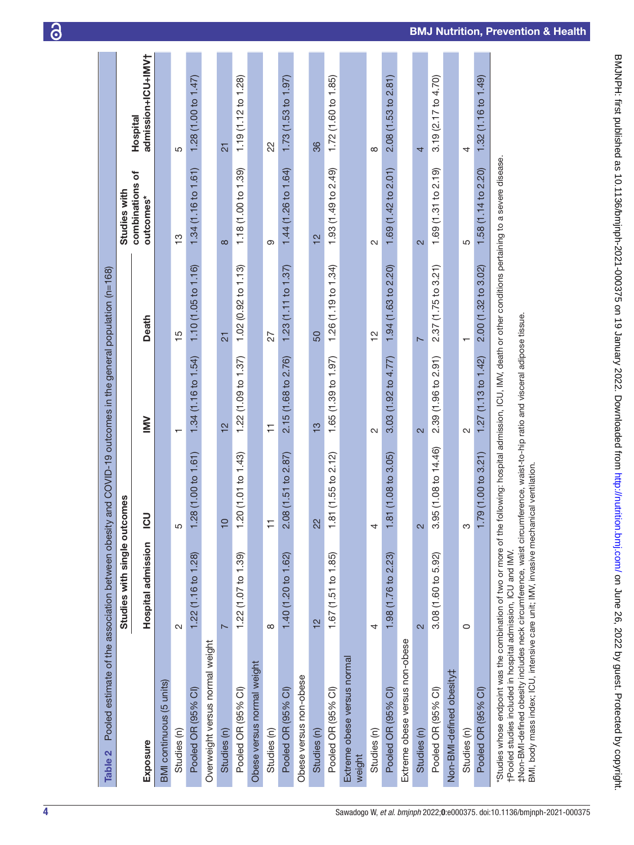| Pooled estimate of the association between obestly and COVID-19 outcomes in the general population (n=168)<br>Table 2                                                                                                               |                              |                       |                         |                     |                              |                                |
|-------------------------------------------------------------------------------------------------------------------------------------------------------------------------------------------------------------------------------------|------------------------------|-----------------------|-------------------------|---------------------|------------------------------|--------------------------------|
|                                                                                                                                                                                                                                     | Studies with single outcomes |                       |                         |                     | Studies with                 |                                |
| Exposure                                                                                                                                                                                                                            | <b>Hospital admission</b>    | $\overline{5}$        | $\geq$                  | Death               | combinations of<br>outcomes* | admission+ICU+IMV†<br>Hospital |
| BMI continuous (5 units)                                                                                                                                                                                                            |                              |                       |                         |                     |                              |                                |
| Studies (n)                                                                                                                                                                                                                         | N                            | ഥ                     | ┯                       | $\frac{5}{1}$       | က္                           | 5                              |
| Pooled OR (95% CI)                                                                                                                                                                                                                  | 1.22 (1.16 to 1.28)          | 1.28(1.00 to 1.61)    | 1.34 (1.16 to 1.54)     | 1.10(1.05 to 1.16)  | 1.34(1.16 to 1.61)           | 1.28 (1.00 to 1.47)            |
| Overweight versus normal weight                                                                                                                                                                                                     |                              |                       |                         |                     |                              |                                |
| Studies (n)                                                                                                                                                                                                                         | N                            | $\overline{C}$        | $\frac{1}{2}$           | $\overline{2}$      | $\infty$                     | $\overline{2}$                 |
| Pooled OR (95% Cl)                                                                                                                                                                                                                  | 1.22(1.07 to 1.39)           | 1.20 $(1.01 to 1.43)$ | 1.22 (1.09 to 1.37)     | 1.02(0.92 to 1.13)  | 1.18 (1.00 to 1.39)          | 1.19 (1.12 to 1.28)            |
| Obese versus normal weight                                                                                                                                                                                                          |                              |                       |                         |                     |                              |                                |
| Studies (n)                                                                                                                                                                                                                         | $\infty$                     | Ξ                     | ≓                       | 27                  | ග                            | 22                             |
| Pooled OR (95% CI)                                                                                                                                                                                                                  | 1.40 (1.20 to 1.62)          | 2.08 (1.51 to 2.87)   | 2.15 (1.68 to 2.76)     | 1.23(1.11 to 1.37)  | 1.44 (1.26 to 1.64)          | 1.73(1.53 to 1.97)             |
| Obese versus non-obese                                                                                                                                                                                                              |                              |                       |                         |                     |                              |                                |
| Studies (n)                                                                                                                                                                                                                         | $\frac{1}{2}$                | 22                    | 13                      | 50                  | 12                           | 36                             |
| Pooled OR (95% CI)                                                                                                                                                                                                                  | 1.67(1.51 to 1.85)           | 1.81(1.55 to 2.12)    | 1.65(1.39 to 1.97)      | 1.26(1.19 to 1.34)  | 1.93 (1.49 to 2.49)          | 1.72(1.60 to 1.85)             |
| Extreme obese versus normal<br>weight                                                                                                                                                                                               |                              |                       |                         |                     |                              |                                |
| Studies (n)                                                                                                                                                                                                                         | 4                            | 4                     | $\sim$                  | $\frac{2}{3}$       | $\sim$                       | $\infty$                       |
| Pooled OR (95% CI)                                                                                                                                                                                                                  | 1.98 (1.76 to 2.23)          | 1.81 (1.08 to 3.05)   | 3.03(1.92 to 4.77)      | 1.94 (1.63 to 2.20) | 1.69 (1.42 to 2.01)          | 2.08 (1.53 to 2.81)            |
| Extreme obese versus non-obese                                                                                                                                                                                                      |                              |                       |                         |                     |                              |                                |
| Studies (n)                                                                                                                                                                                                                         | $\overline{\mathsf{c}}$      | 2                     | $\overline{\mathsf{c}}$ | $\overline{ }$      | 2                            | 4                              |
| Pooled OR (95% Cl)                                                                                                                                                                                                                  | 3.08(1.60 to 5.92)           | 3.95 (1.08 to 14.46)  | 2.39 (1.96 to 2.91)     | 2.37(1.75 to 3.21)  | 1.69 $(1.31$ to 2.19)        | 3.19(2.17 to 4.70)             |
| Non-BMI-defined obesity‡                                                                                                                                                                                                            |                              |                       |                         |                     |                              |                                |
| Studies (n)                                                                                                                                                                                                                         | 0                            | ო                     | N                       |                     | 5                            | 4                              |
| Pooled OR (95% CI)                                                                                                                                                                                                                  |                              | 1.79(1.00 to 3.21)    | 1.27(1.13 to 1.42)      | 2.00(1.32 to 3.02)  | 1.58 (1.14 to 2.20)          | 1.32(1.16 to 1.49)             |
| Studies whose endpoint was the combination of two or more of the following: hospital admission, ICU, IMV, death or other conditions pertaining to a severe disease.<br>tPooled studies included in hospital admission, ICU and IMV. |                              |                       |                         |                     |                              |                                |

‡Non-BMI-defined obesity includes neck circumference, waist circumference, waist-to-hip ratio and visceral adipose tissue.<br>BMI, body mass index; ICU, intensive care unit; IMV, invasive mechanical ventilation. ‡Non-BMI-defined obesity includes neck circumference, waist circumference, waist-to-hip ratio and visceral adipose tissue.

BMJNH: first published as 10.1136/bmjnph-2021-000375 on 19 January 2022. Downloaded from <http://nutrition.bmj.com/> on June 26, 2022 by guest. Protected by copyright.

BMJNPH: first published as 10.11136/bmjnph-2021-000375 on 19 January 2022. Downloaded from http://nutrition.bmj.com/ on June 26, 2022 by guest. Protected by copyright.

<span id="page-3-0"></span>BMI, body mass index; ICU, intensive care unit; IMV, invasive mechanical ventilation.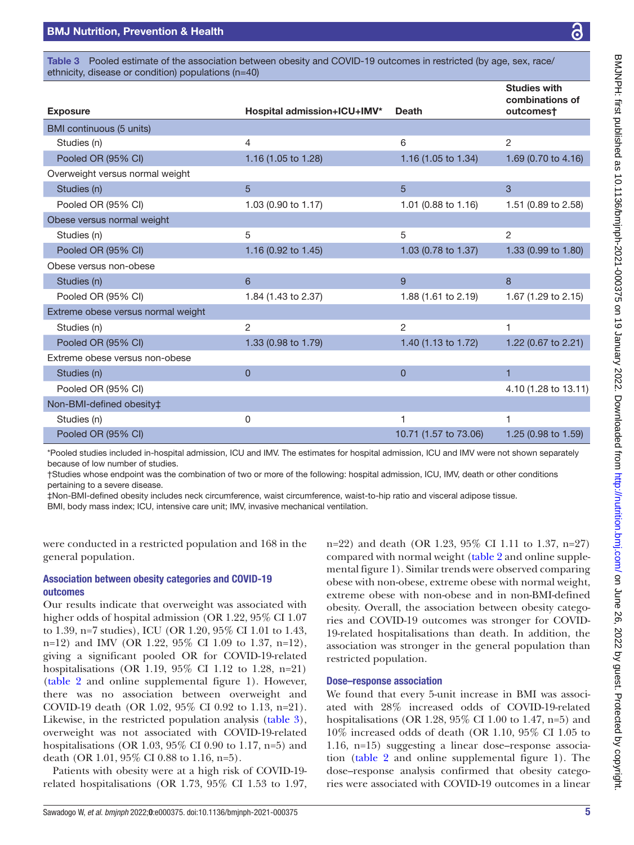<span id="page-4-0"></span>Table 3 Pooled estimate of the association between obesity and COVID-19 outcomes in restricted (by age, sex, race/ ethnicity, disease or condition) populations (n=40)

|                                    |                             |                       | <b>Studies with</b><br>combinations of |
|------------------------------------|-----------------------------|-----------------------|----------------------------------------|
| <b>Exposure</b>                    | Hospital admission+ICU+IMV* | <b>Death</b>          | outcomes†                              |
| BMI continuous (5 units)           |                             |                       |                                        |
| Studies (n)                        | 4                           | 6                     | $\overline{2}$                         |
| Pooled OR (95% CI)                 | 1.16 (1.05 to 1.28)         | 1.16 (1.05 to 1.34)   | 1.69 (0.70 to 4.16)                    |
| Overweight versus normal weight    |                             |                       |                                        |
| Studies (n)                        | 5                           | 5                     | 3                                      |
| Pooled OR (95% CI)                 | 1.03 (0.90 to 1.17)         | 1.01 (0.88 to 1.16)   | 1.51 (0.89 to 2.58)                    |
| Obese versus normal weight         |                             |                       |                                        |
| Studies (n)                        | 5                           | 5                     | 2                                      |
| Pooled OR (95% CI)                 | 1.16 (0.92 to 1.45)         | 1.03 (0.78 to 1.37)   | 1.33 (0.99 to 1.80)                    |
| Obese versus non-obese             |                             |                       |                                        |
| Studies (n)                        | 6                           | 9                     | 8                                      |
| Pooled OR (95% CI)                 | 1.84 (1.43 to 2.37)         | 1.88 (1.61 to 2.19)   | 1.67 (1.29 to 2.15)                    |
| Extreme obese versus normal weight |                             |                       |                                        |
| Studies (n)                        | 2                           | $\overline{2}$        | $\overline{1}$                         |
| Pooled OR (95% CI)                 | 1.33 (0.98 to 1.79)         | 1.40 (1.13 to 1.72)   | 1.22 (0.67 to 2.21)                    |
| Extreme obese versus non-obese     |                             |                       |                                        |
| Studies (n)                        | $\mathbf 0$                 | $\mathbf{0}$          | 1                                      |
| Pooled OR (95% CI)                 |                             |                       | 4.10 (1.28 to 13.11)                   |
| Non-BMI-defined obesity‡           |                             |                       |                                        |
| Studies (n)                        | 0                           | 1                     | 1                                      |
| Pooled OR (95% CI)                 |                             | 10.71 (1.57 to 73.06) | 1.25 (0.98 to 1.59)                    |

\*Pooled studies included in-hospital admission, ICU and IMV. The estimates for hospital admission, ICU and IMV were not shown separately because of low number of studies.

†Studies whose endpoint was the combination of two or more of the following: hospital admission, ICU, IMV, death or other conditions pertaining to a severe disease.

‡Non-BMI-defined obesity includes neck circumference, waist circumference, waist-to-hip ratio and visceral adipose tissue.

BMI, body mass index; ICU, intensive care unit; IMV, invasive mechanical ventilation.

were conducted in a restricted population and 168 in the general population.

## Association between obesity categories and COVID-19 outcomes

Our results indicate that overweight was associated with higher odds of hospital admission (OR 1.22, 95% CI 1.07 to 1.39, n=7 studies), ICU (OR 1.20, 95% CI 1.01 to 1.43, n=12) and IMV (OR 1.22, 95% CI 1.09 to 1.37, n=12), giving a significant pooled OR for COVID-19-related hospitalisations (OR 1.19, 95% CI 1.12 to 1.28, n=21) ([table](#page-3-0) 2 and [online supplemental figure 1](https://dx.doi.org/10.1136/bmjnph-2021-000375)). However, there was no association between overweight and COVID-19 death (OR 1.02, 95% CI 0.92 to 1.13, n=21). Likewise, in the restricted population analysis [\(table](#page-4-0) 3), overweight was not associated with COVID-19-related hospitalisations (OR 1.03, 95% CI 0.90 to 1.17, n=5) and death (OR 1.01, 95% CI 0.88 to 1.16, n=5).

Patients with obesity were at a high risk of COVID-19 related hospitalisations (OR 1.73, 95% CI 1.53 to 1.97, n=22) and death (OR 1.23, 95% CI 1.11 to 1.37, n=27) compared with normal weight [\(table](#page-3-0) 2 and [online supple](https://dx.doi.org/10.1136/bmjnph-2021-000375)[mental figure 1](https://dx.doi.org/10.1136/bmjnph-2021-000375)). Similar trends were observed comparing obese with non-obese, extreme obese with normal weight, extreme obese with non-obese and in non-BMI-defined obesity. Overall, the association between obesity categories and COVID-19 outcomes was stronger for COVID-19-related hospitalisations than death. In addition, the association was stronger in the general population than restricted population.

#### Dose–response association

We found that every 5-unit increase in BMI was associated with 28% increased odds of COVID-19-related hospitalisations (OR 1.28, 95% CI 1.00 to 1.47, n=5) and 10% increased odds of death (OR 1.10, 95% CI 1.05 to 1.16, n=15) suggesting a linear dose–response association ([table](#page-3-0) 2 and [online supplemental figure 1](https://dx.doi.org/10.1136/bmjnph-2021-000375)). The dose–response analysis confirmed that obesity categories were associated with COVID-19 outcomes in a linear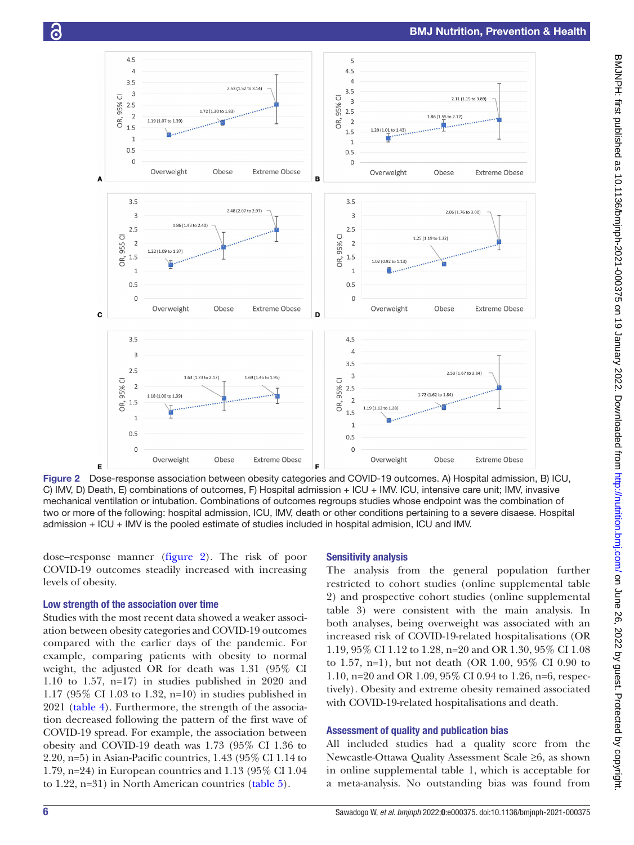

<span id="page-5-0"></span>Figure 2 Dose-response association between obesity categories and COVID-19 outcomes. A) Hospital admission, B) ICU, C) IMV, D) Death, E) combinations of outcomes, F) Hospital admission + ICU + IMV. ICU, intensive care unit; IMV, invasive mechanical ventilation or intubation. Combinations of outcomes regroups studies whose endpoint was the combination of two or more of the following: hospital admission, ICU, IMV, death or other conditions pertaining to a severe disaese. Hospital admission + ICU + IMV is the pooled estimate of studies included in hospital admision, ICU and IMV.

dose–response manner ([figure](#page-5-0) 2). The risk of poor COVID-19 outcomes steadily increased with increasing levels of obesity.

## Low strength of the association over time

Studies with the most recent data showed a weaker association between obesity categories and COVID-19 outcomes compared with the earlier days of the pandemic. For example, comparing patients with obesity to normal weight, the adjusted OR for death was 1.31 (95% CI 1.10 to 1.57, n=17) in studies published in 2020 and 1.17 (95% CI 1.03 to 1.32, n=10) in studies published in 2021 ([table](#page-6-0) 4). Furthermore, the strength of the association decreased following the pattern of the first wave of COVID-19 spread. For example, the association between obesity and COVID-19 death was 1.73 (95% CI 1.36 to 2.20, n=5) in Asian-Pacific countries, 1.43 (95% CI 1.14 to 1.79, n=24) in European countries and 1.13 (95% CI 1.04 to 1.22, n=31) in North American countries ([table](#page-7-0) 5).

## Sensitivity analysis

The analysis from the general population further restricted to cohort studies [\(online supplemental table](https://dx.doi.org/10.1136/bmjnph-2021-000375)  [2](https://dx.doi.org/10.1136/bmjnph-2021-000375)) and prospective cohort studies ([online supplemental](https://dx.doi.org/10.1136/bmjnph-2021-000375)  [table 3](https://dx.doi.org/10.1136/bmjnph-2021-000375)) were consistent with the main analysis. In both analyses, being overweight was associated with an increased risk of COVID-19-related hospitalisations (OR 1.19, 95% CI 1.12 to 1.28, n=20 and OR 1.30, 95% CI 1.08 to 1.57, n=1), but not death (OR 1.00, 95% CI 0.90 to 1.10, n=20 and OR 1.09, 95% CI 0.94 to 1.26, n=6, respectively). Obesity and extreme obesity remained associated with COVID-19-related hospitalisations and death.

## Assessment of quality and publication bias

All included studies had a quality score from the Newcastle-Ottawa Quality Assessment Scale ≥6, as shown in [online supplemental table 1](https://dx.doi.org/10.1136/bmjnph-2021-000375), which is acceptable for a meta-analysis. No outstanding bias was found from

င်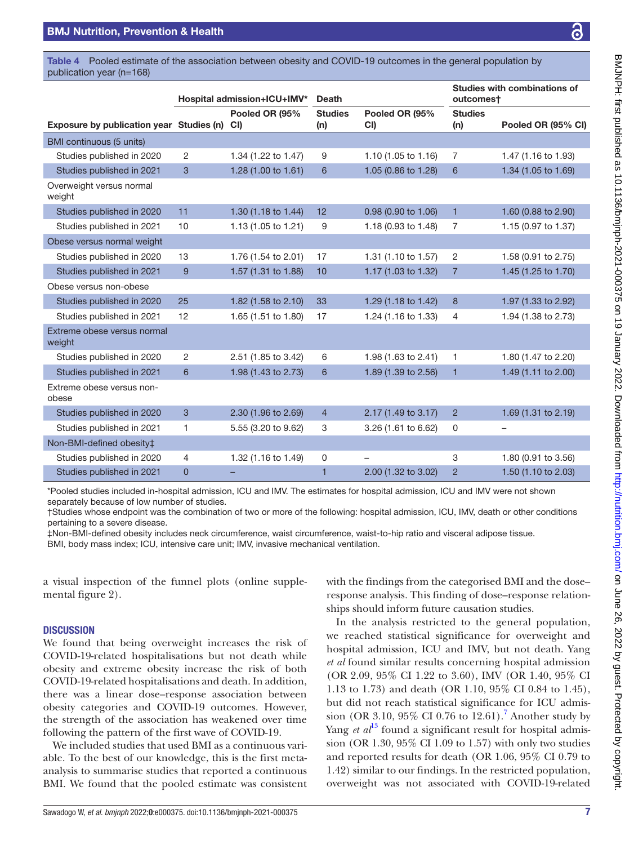<span id="page-6-0"></span>Table 4 Pooled estimate of the association between obesity and COVID-19 outcomes in the general population by publication year (n=168)

|                                          |                | Hospital admission+ICU+IMV* | <b>Death</b>          |                          | outcomest             | <b>Studies with combinations of</b> |
|------------------------------------------|----------------|-----------------------------|-----------------------|--------------------------|-----------------------|-------------------------------------|
| Exposure by publication year Studies (n) |                | Pooled OR (95%<br>CI        | <b>Studies</b><br>(n) | Pooled OR (95%<br>CI)    | <b>Studies</b><br>(n) | Pooled OR (95% CI)                  |
| BMI continuous (5 units)                 |                |                             |                       |                          |                       |                                     |
| Studies published in 2020                | $\overline{2}$ | 1.34 (1.22 to 1.47)         | 9                     | 1.10 (1.05 to 1.16)      | 7                     | 1.47 (1.16 to 1.93)                 |
| Studies published in 2021                | 3              | 1.28 (1.00 to 1.61)         | 6                     | 1.05 (0.86 to 1.28)      | 6                     | 1.34 (1.05 to 1.69)                 |
| Overweight versus normal<br>weight       |                |                             |                       |                          |                       |                                     |
| Studies published in 2020                | 11             | 1.30 (1.18 to 1.44)         | 12                    | 0.98 (0.90 to 1.06)      | $\mathbf{1}$          | 1.60 (0.88 to 2.90)                 |
| Studies published in 2021                | 10             | 1.13 (1.05 to 1.21)         | 9                     | 1.18 (0.93 to 1.48)      | 7                     | 1.15 (0.97 to 1.37)                 |
| Obese versus normal weight               |                |                             |                       |                          |                       |                                     |
| Studies published in 2020                | 13             | 1.76 (1.54 to 2.01)         | 17                    | 1.31 (1.10 to 1.57)      | $\overline{2}$        | 1.58 (0.91 to 2.75)                 |
| Studies published in 2021                | 9              | 1.57 (1.31 to 1.88)         | 10                    | 1.17 (1.03 to 1.32)      | $\overline{7}$        | 1.45 (1.25 to 1.70)                 |
| Obese versus non-obese                   |                |                             |                       |                          |                       |                                     |
| Studies published in 2020                | 25             | 1.82 (1.58 to 2.10)         | 33                    | 1.29 (1.18 to 1.42)      | 8                     | 1.97 (1.33 to 2.92)                 |
| Studies published in 2021                | 12             | 1.65 (1.51 to 1.80)         | 17                    | 1.24 (1.16 to 1.33)      | 4                     | 1.94 (1.38 to 2.73)                 |
| Extreme obese versus normal<br>weight    |                |                             |                       |                          |                       |                                     |
| Studies published in 2020                | 2              | 2.51 (1.85 to 3.42)         | 6                     | 1.98 (1.63 to 2.41)      | 1                     | 1.80 (1.47 to 2.20)                 |
| Studies published in 2021                | 6              | 1.98 (1.43 to 2.73)         | 6                     | 1.89 (1.39 to 2.56)      | $\mathbf{1}$          | 1.49 (1.11 to 2.00)                 |
| Extreme obese versus non-<br>obese       |                |                             |                       |                          |                       |                                     |
| Studies published in 2020                | $\mathbf{3}$   | 2.30 (1.96 to 2.69)         | $\overline{4}$        | 2.17 (1.49 to 3.17)      | $\overline{2}$        | 1.69 (1.31 to 2.19)                 |
| Studies published in 2021                | $\mathbf{1}$   | 5.55 (3.20 to 9.62)         | 3                     | 3.26 (1.61 to 6.62)      | 0                     | —                                   |
| Non-BMI-defined obesity‡                 |                |                             |                       |                          |                       |                                     |
| Studies published in 2020                | $\overline{4}$ | 1.32 (1.16 to 1.49)         | 0                     | $\overline{\phantom{0}}$ | 3                     | 1.80 (0.91 to 3.56)                 |
| Studies published in 2021                | $\overline{0}$ |                             | 1                     | 2.00 (1.32 to 3.02)      | $\overline{2}$        | 1.50 (1.10 to 2.03)                 |

\*Pooled studies included in-hospital admission, ICU and IMV. The estimates for hospital admission, ICU and IMV were not shown separately because of low number of studies.

†Studies whose endpoint was the combination of two or more of the following: hospital admission, ICU, IMV, death or other conditions pertaining to a severe disease.

‡Non-BMI-defined obesity includes neck circumference, waist circumference, waist-to-hip ratio and visceral adipose tissue.

BMI, body mass index; ICU, intensive care unit; IMV, invasive mechanical ventilation.

a visual inspection of the funnel plots [\(online supple](https://dx.doi.org/10.1136/bmjnph-2021-000375)[mental figure 2](https://dx.doi.org/10.1136/bmjnph-2021-000375)).

#### **DISCUSSION**

We found that being overweight increases the risk of COVID-19-related hospitalisations but not death while obesity and extreme obesity increase the risk of both COVID-19-related hospitalisations and death. In addition, there was a linear dose–response association between obesity categories and COVID-19 outcomes. However, the strength of the association has weakened over time following the pattern of the first wave of COVID-19.

We included studies that used BMI as a continuous variable. To the best of our knowledge, this is the first metaanalysis to summarise studies that reported a continuous BMI. We found that the pooled estimate was consistent

Sawadogo W, *et al*. *bmjnph* 2022;0:e000375. doi:10.1136/bmjnph-2021-000375 7

with the findings from the categorised BMI and the dose– response analysis. This finding of dose–response relationships should inform future causation studies.

In the analysis restricted to the general population, we reached statistical significance for overweight and hospital admission, ICU and IMV, but not death. Yang *et al* found similar results concerning hospital admission (OR 2.09, 95% CI 1.22 to 3.60), IMV (OR 1.40, 95% CI 1.13 to 1.73) and death (OR 1.10, 95% CI 0.84 to 1.45), but did not reach statistical significance for ICU admis-sion (OR 3.10, 95% CI 0.[7](#page-8-6)6 to  $12.61$ ).<sup>7</sup> Another study by Yang *et al*<sup>[13](#page-8-11)</sup> found a significant result for hospital admission (OR 1.30, 95% CI 1.09 to 1.57) with only two studies and reported results for death (OR 1.06, 95% CI 0.79 to 1.42) similar to our findings. In the restricted population, overweight was not associated with COVID-19-related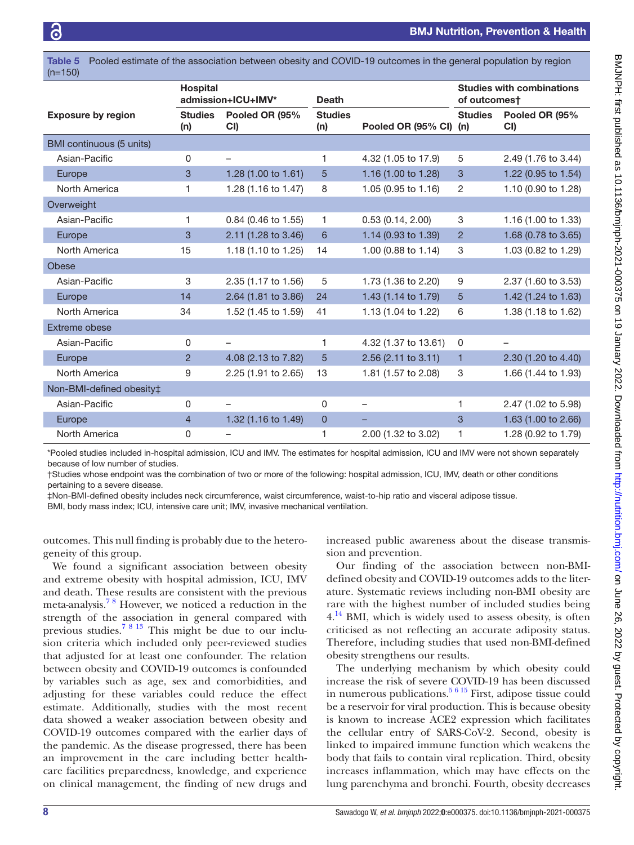$(n-150)$ 

<span id="page-7-0"></span>Table 5 Pooled estimate of the association between obesity and COVID-19 outcomes in the general population by region

|                           | <b>Hospital</b><br>admission+ICU+IMV* |                       | <b>Death</b>          |                      | <b>Studies with combinations</b><br>of outcomest |                          |
|---------------------------|---------------------------------------|-----------------------|-----------------------|----------------------|--------------------------------------------------|--------------------------|
| <b>Exposure by region</b> | <b>Studies</b><br>(n)                 | Pooled OR (95%<br>CI) | <b>Studies</b><br>(n) | Pooled OR (95% CI)   | <b>Studies</b><br>(n)                            | Pooled OR (95%<br>CI)    |
| BMI continuous (5 units)  |                                       |                       |                       |                      |                                                  |                          |
| Asian-Pacific             | 0                                     | -                     | 1                     | 4.32 (1.05 to 17.9)  | 5                                                | 2.49 (1.76 to 3.44)      |
| Europe                    | 3                                     | 1.28 (1.00 to 1.61)   | 5                     | 1.16 (1.00 to 1.28)  | 3                                                | 1.22 (0.95 to 1.54)      |
| North America             | 1                                     | 1.28 (1.16 to 1.47)   | 8                     | 1.05 (0.95 to 1.16)  | $\overline{c}$                                   | 1.10 (0.90 to 1.28)      |
| Overweight                |                                       |                       |                       |                      |                                                  |                          |
| Asian-Pacific             | 1                                     | 0.84 (0.46 to 1.55)   | 1                     | 0.53(0.14, 2.00)     | 3                                                | 1.16 (1.00 to 1.33)      |
| Europe                    | 3                                     | 2.11 (1.28 to 3.46)   | 6                     | 1.14 (0.93 to 1.39)  | $\overline{2}$                                   | 1.68 (0.78 to 3.65)      |
| North America             | 15                                    | 1.18 (1.10 to 1.25)   | 14                    | 1.00 (0.88 to 1.14)  | 3                                                | 1.03 (0.82 to 1.29)      |
| <b>Obese</b>              |                                       |                       |                       |                      |                                                  |                          |
| Asian-Pacific             | 3                                     | 2.35 (1.17 to 1.56)   | 5                     | 1.73 (1.36 to 2.20)  | 9                                                | 2.37 (1.60 to 3.53)      |
| Europe                    | 14                                    | 2.64 (1.81 to 3.86)   | 24                    | 1.43 (1.14 to 1.79)  | 5                                                | 1.42 (1.24 to 1.63)      |
| North America             | 34                                    | 1.52 (1.45 to 1.59)   | 41                    | 1.13 (1.04 to 1.22)  | 6                                                | 1.38 (1.18 to 1.62)      |
| Extreme obese             |                                       |                       |                       |                      |                                                  |                          |
| Asian-Pacific             | $\mathbf{0}$                          | -                     | 1                     | 4.32 (1.37 to 13.61) | 0                                                | $\overline{\phantom{0}}$ |
| Europe                    | $\overline{2}$                        | 4.08 (2.13 to 7.82)   | 5                     | 2.56 (2.11 to 3.11)  | 1                                                | 2.30 (1.20 to 4.40)      |
| North America             | 9                                     | 2.25 (1.91 to 2.65)   | 13                    | 1.81 (1.57 to 2.08)  | 3                                                | 1.66 (1.44 to 1.93)      |
| Non-BMI-defined obesity‡  |                                       |                       |                       |                      |                                                  |                          |
| Asian-Pacific             | 0                                     | —                     | 0                     |                      | 1                                                | 2.47 (1.02 to 5.98)      |
| Europe                    | $\overline{4}$                        | 1.32 (1.16 to 1.49)   | 0                     |                      | 3                                                | 1.63 (1.00 to 2.66)      |
| North America             | 0                                     |                       | 1                     | 2.00 (1.32 to 3.02)  | 1                                                | 1.28 (0.92 to 1.79)      |

\*Pooled studies included in-hospital admission, ICU and IMV. The estimates for hospital admission, ICU and IMV were not shown separately because of low number of studies.

†Studies whose endpoint was the combination of two or more of the following: hospital admission, ICU, IMV, death or other conditions pertaining to a severe disease.

‡Non-BMI-defined obesity includes neck circumference, waist circumference, waist-to-hip ratio and visceral adipose tissue.

BMI, body mass index; ICU, intensive care unit; IMV, invasive mechanical ventilation.

outcomes. This null finding is probably due to the heterogeneity of this group.

We found a significant association between obesity and extreme obesity with hospital admission, ICU, IMV and death. These results are consistent with the previous meta-analysis.[7 8](#page-8-6) However, we noticed a reduction in the strength of the association in general compared with previous studies.[7 8 13](#page-8-6) This might be due to our inclusion criteria which included only peer-reviewed studies that adjusted for at least one confounder. The relation between obesity and COVID-19 outcomes is confounded by variables such as age, sex and comorbidities, and adjusting for these variables could reduce the effect estimate. Additionally, studies with the most recent data showed a weaker association between obesity and COVID-19 outcomes compared with the earlier days of the pandemic. As the disease progressed, there has been an improvement in the care including better healthcare facilities preparedness, knowledge, and experience on clinical management, the finding of new drugs and

increased public awareness about the disease transmission and prevention.

Our finding of the association between non-BMIdefined obesity and COVID-19 outcomes adds to the literature. Systematic reviews including non-BMI obesity are rare with the highest number of included studies being  $4.14$  BMI, which is widely used to assess obesity, is often criticised as not reflecting an accurate adiposity status. Therefore, including studies that used non-BMI-defined obesity strengthens our results.

The underlying mechanism by which obesity could increase the risk of severe COVID-19 has been discussed in numerous publications. $5615$  First, adipose tissue could be a reservoir for viral production. This is because obesity is known to increase ACE2 expression which facilitates the cellular entry of SARS-CoV-2. Second, obesity is linked to impaired immune function which weakens the body that fails to contain viral replication. Third, obesity increases inflammation, which may have effects on the lung parenchyma and bronchi. Fourth, obesity decreases